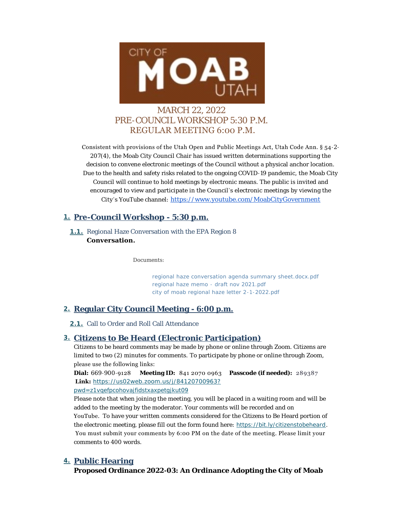

# MARCH 22, 2022 PRE-COUNCIL WORKSHOP 5:30 P.M. REGULAR MEETING 6:00 P.M.

Consistent with provisions of the Utah Open and Public Meetings Act, Utah Code Ann. § 54-2- 207(4), the Moab City Council Chair has issued written determinations supporting the decision to convene electronic meetings of the Council without a physical anchor location. Due to the health and safety risks related to the ongoing COVID-19 pandemic, the Moab City Council will continue to hold meetings by electronic means. The public is invited and encouraged to view and participate in the Council's electronic meetings by viewing the City 's YouTube channel: [https://www.youtube.com/MoabCityGovernment](https://www.youtube.com/c/MoabCityGovernment)

## **Pre-Council Workshop - 5:30 p.m. 1.**

1.1. Regional Haze Conversation with the EPA Region 8 **Conversation.**

*Documents:*

*[regional haze conversation agenda summary sheet.docx.pdf](https://moabcity.org/AgendaCenter/ViewFile/Item/4731?fileID=5710) [regional haze memo - draft nov 2021.pdf](https://moabcity.org/AgendaCenter/ViewFile/Item/4731?fileID=5711) [city of moab regional haze letter 2-1-2022.pdf](https://moabcity.org/AgendaCenter/ViewFile/Item/4731?fileID=5712)*

# **Regular City Council Meeting - 6:00 p.m. 2.**

2.1. Call to Order and Roll Call Attendance

## **Citizens to Be Heard (Electronic Participation) 3.**

Citizens to be heard comments may be made by phone or online through Zoom. Citizens are limited to two (2) minutes for comments. To participate by phone or online through Zoom, please use the following links:

**Dial:** 669-900-9128 **Meeting ID:** 841 2070 0963 **Passcode (if needed):** 289387  **Link:** *[https://us02web.zoom.us/j/84120700963?](https://us02web.zoom.us/j/84120700963?pwd=Z1VqeFpCOHovajFidStXaXpETGJkUT09) pwd=z1vqefpcohovajfidstxaxpetgjkut09*

Please note that when joining the meeting, you will be placed in a waiting room and will be added to the meeting by the moderator. Your comments will be recorded and on YouTube. To have your written comments considered for the Citizens to Be Heard portion of the electronic meeting, please fill out the form found here: *<https://bit.ly/citizenstobeheard>*. You must submit your comments by 6:00 PM on the date of the meeting. Please limit your comments to 400 words.

# **Public Hearing 4.**

**Proposed Ordinance 2022-03: An Ordinance Adopting the City of Moab**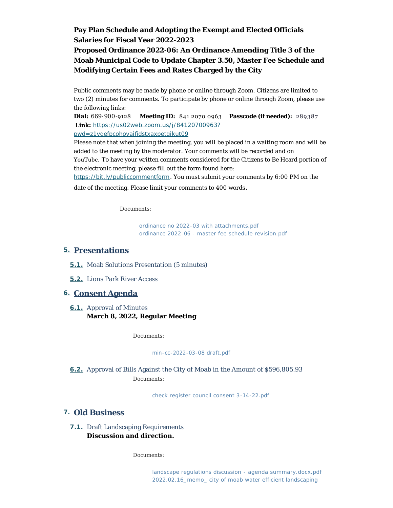# **Pay Plan Schedule and Adopting the Exempt and Elected Officials Salaries for Fiscal Year 2022-2023 Proposed Ordinance 2022-06: An Ordinance Amending Title 3 of the Moab Municipal Code to Update Chapter 3.50, Master Fee Schedule and Modifying Certain Fees and Rates Charged by the City**

Public comments may be made by phone or online through Zoom. Citizens are limited to two (2) minutes for comments. To participate by phone or online through Zoom, please use the following links:

**Dial:** 669-900-9128 **Meeting ID:** 841 2070 0963 **Passcode (if needed):** 289387  **Link:** *[https://us02web.zoom.us/j/84120700963?](https://us02web.zoom.us/j/84120700963?pwd=Z1VqeFpCOHovajFidStXaXpETGJkUT09) pwd=z1vqefpcohovajfidstxaxpetgjkut09*

Please note that when joining the meeting, you will be placed in a waiting room and will be added to the meeting by the moderator. Your comments will be recorded and on YouTube. To have your written comments considered for the Citizens to Be Heard portion of [the electronic meeting, please fill ou](https://bit.ly/publiccommentform)t the form found here:

*https://bit.ly/publiccommentform*. You must submit your comments by 6:00 PM on the

date of the meeting. Please limit your comments to 400 words .

*Documents:*

*[ordinance no 2022-03 with attachments.pdf](https://moabcity.org/AgendaCenter/ViewFile/Item/4565?fileID=5706) [ordinance 2022-06 - master fee schedule revision.pdf](https://moabcity.org/AgendaCenter/ViewFile/Item/4565?fileID=5707)*

## **Presentations 5.**

- **5.1.** Moab Solutions Presentation (5 minutes)
- 5.2. Lions Park River Access

## **Consent Agenda 6.**

**6.1.** Approval of Minutes **March 8, 2022, Regular Meeting**

*Documents:*

#### *[min-cc-2022-03-08 draft.pdf](https://moabcity.org/AgendaCenter/ViewFile/Item/4562?fileID=5704)*

Approval of Bills Against the City of Moab in the Amount of \$596,805.93 **6.2.** *Documents:*

*[check register council consent 3-14-22.pdf](https://moabcity.org/AgendaCenter/ViewFile/Item/4571?fileID=5705)*

## **Old Business 7.**

#### **7.1.** Draft Landscaping Requirements **Discussion and direction.**

*Documents:*

*[landscape regulations discussion - agenda summary.docx.pdf](https://moabcity.org/AgendaCenter/ViewFile/Item/4730?fileID=5708) [2022.02.16\\_memo\\_ city of moab water efficient landscaping](https://moabcity.org/AgendaCenter/ViewFile/Item/4730?fileID=5709)*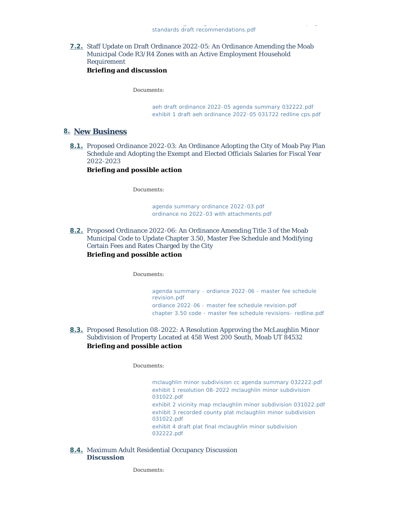**7.2.** Staff Update on Draft Ordinance 2022-05: An Ordinance Amending the Moab Municipal Code R3/R4 Zones with an Active Employment Household Requirement **Briefing and discussion**

*Documents:*

*[aeh draft ordinance 2022-05 agenda summary 032222.pdf](https://moabcity.org/AgendaCenter/ViewFile/Item/4732?fileID=5713) [exhibit 1 draft aeh ordinance 2022-05 031722 redline cps.pdf](https://moabcity.org/AgendaCenter/ViewFile/Item/4732?fileID=5714)*

#### **New Business 8.**

**8.1.** Proposed Ordinance 2022-03: An Ordinance Adopting the City of Moab Pay Plan Schedule and Adopting the Exempt and Elected Officials Salaries for Fiscal Year 2022-2023

**Briefing and possible action**

*Documents:*

*[agenda summary ordinance 2022-03.pdf](https://moabcity.org/AgendaCenter/ViewFile/Item/4733?fileID=5716) [ordinance no 2022-03 with attachments.pdf](https://moabcity.org/AgendaCenter/ViewFile/Item/4733?fileID=5718)*

**8.2.** Proposed Ordinance 2022-06: An Ordinance Amending Title 3 of the Moab Municipal Code to Update Chapter 3.50, Master Fee Schedule and Modifying Certain Fees and Rates Charged by the City **Briefing and possible action**

*Documents:*

*[agenda summary - ordiance 2022-06 - master fee schedule](https://moabcity.org/AgendaCenter/ViewFile/Item/4726?fileID=5701)  revision.pdf [ordiance 2022-06 - master fee schedule revision.pdf](https://moabcity.org/AgendaCenter/ViewFile/Item/4726?fileID=5702) [chapter 3.50 code - master fee schedule revisions- redline.pdf](https://moabcity.org/AgendaCenter/ViewFile/Item/4726?fileID=5703)*

**8.3.** Proposed Resolution 08-2022: A Resolution Approving the McLaughlin Minor Subdivision of Property Located at 458 West 200 South, Moab UT 84532 **Briefing and possible action**

#### *Documents:*

*[mclaughlin minor subdivision cc agenda summary 032222.pdf](https://moabcity.org/AgendaCenter/ViewFile/Item/4735?fileID=5720) [exhibit 1 resolution 08-2022 mclaughlin minor subdivision](https://moabcity.org/AgendaCenter/ViewFile/Item/4735?fileID=5721)  031022.pdf [exhibit 2 vicinity map mclaughlin minor subdivision 031022.pdf](https://moabcity.org/AgendaCenter/ViewFile/Item/4735?fileID=5722) [exhibit 3 recorded county plat mclaughlin minor subdivision](https://moabcity.org/AgendaCenter/ViewFile/Item/4735?fileID=5724)  031022.pdf [exhibit 4 draft plat final mclaughlin minor subdivision](https://moabcity.org/AgendaCenter/ViewFile/Item/4735?fileID=5723)  032222.pdf*

8.4. Maximum Adult Residential Occupancy Discussion **Discussion**

*Documents:*